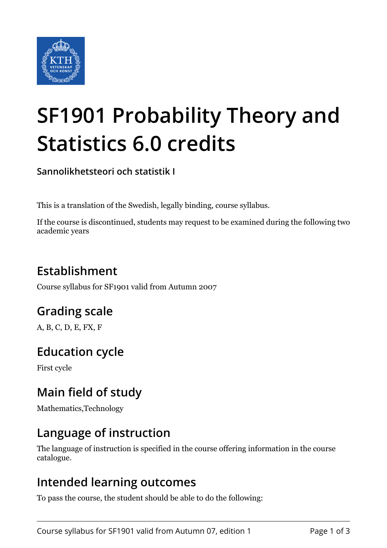

# **SF1901 Probability Theory and Statistics 6.0 credits**

**Sannolikhetsteori och statistik I**

This is a translation of the Swedish, legally binding, course syllabus.

If the course is discontinued, students may request to be examined during the following two academic years

## **Establishment**

Course syllabus for SF1901 valid from Autumn 2007

## **Grading scale**

A, B, C, D, E, FX, F

## **Education cycle**

First cycle

## **Main field of study**

Mathematics,Technology

## **Language of instruction**

The language of instruction is specified in the course offering information in the course catalogue.

### **Intended learning outcomes**

To pass the course, the student should be able to do the following: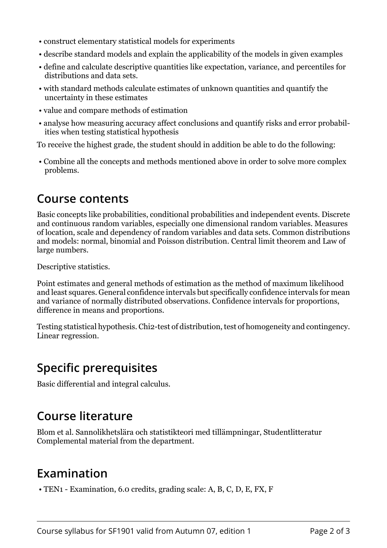- construct elementary statistical models for experiments
- describe standard models and explain the applicability of the models in given examples
- define and calculate descriptive quantities like expectation, variance, and percentiles for distributions and data sets.
- with standard methods calculate estimates of unknown quantities and quantify the uncertainty in these estimates
- value and compare methods of estimation
- analyse how measuring accuracy affect conclusions and quantify risks and error probabilities when testing statistical hypothesis

To receive the highest grade, the student should in addition be able to do the following:

 • Combine all the concepts and methods mentioned above in order to solve more complex problems.

#### **Course contents**

Basic concepts like probabilities, conditional probabilities and independent events. Discrete and continuous random variables, especially one dimensional random variables. Measures of location, scale and dependency of random variables and data sets. Common distributions and models: normal, binomial and Poisson distribution. Central limit theorem and Law of large numbers.

Descriptive statistics.

Point estimates and general methods of estimation as the method of maximum likelihood and least squares. General confidence intervals but specifically confidence intervals for mean and variance of normally distributed observations. Confidence intervals for proportions, difference in means and proportions.

Testing statistical hypothesis. Chi2-test of distribution, test of homogeneity and contingency. Linear regression.

## **Specific prerequisites**

Basic differential and integral calculus.

## **Course literature**

Blom et al. Sannolikhetslära och statistikteori med tillämpningar, Studentlitteratur Complemental material from the department.

## **Examination**

• TEN1 - Examination, 6.0 credits, grading scale: A, B, C, D, E, FX, F